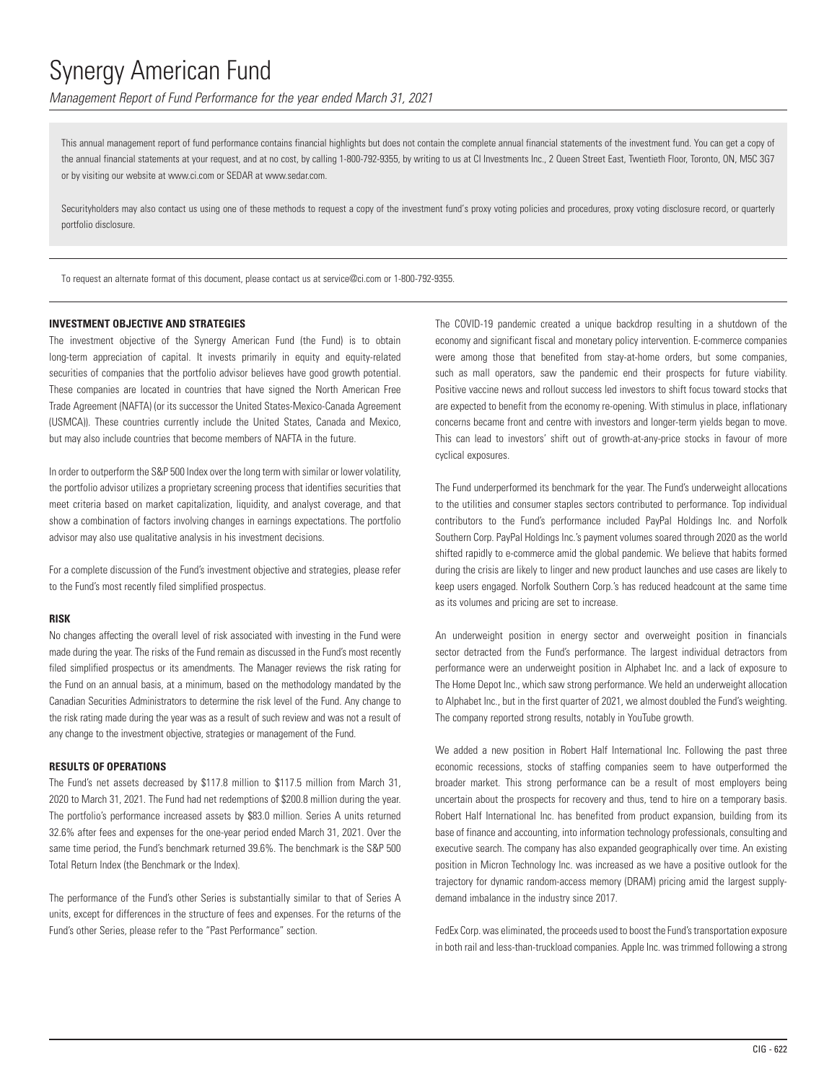*Management Report of Fund Performance for the year ended March 31, 2021*

This annual management report of fund performance contains financial highlights but does not contain the complete annual financial statements of the investment fund. You can get a copy of the annual financial statements at your request, and at no cost, by calling 1-800-792-9355, by writing to us at CI Investments Inc., 2 Queen Street East, Twentieth Floor, Toronto, ON, M5C 3G7 or by visiting our website at www.ci.com or SEDAR at www.sedar.com.

Securityholders may also contact us using one of these methods to request a copy of the investment fund's proxy voting policies and procedures, proxy voting disclosure record, or quarterly portfolio disclosure.

To request an alternate format of this document, please contact us at service@ci.com or 1-800-792-9355.

### **INVESTMENT OBJECTIVE AND STRATEGIES**

The investment objective of the Synergy American Fund (the Fund) is to obtain long-term appreciation of capital. It invests primarily in equity and equity-related securities of companies that the portfolio advisor believes have good growth potential. These companies are located in countries that have signed the North American Free Trade Agreement (NAFTA) (or its successor the United States-Mexico-Canada Agreement (USMCA)). These countries currently include the United States, Canada and Mexico, but may also include countries that become members of NAFTA in the future.

In order to outperform the S&P 500 Index over the long term with similar or lower volatility, the portfolio advisor utilizes a proprietary screening process that identifies securities that meet criteria based on market capitalization, liquidity, and analyst coverage, and that show a combination of factors involving changes in earnings expectations. The portfolio advisor may also use qualitative analysis in his investment decisions.

For a complete discussion of the Fund's investment objective and strategies, please refer to the Fund's most recently filed simplified prospectus.

#### **RISK**

No changes affecting the overall level of risk associated with investing in the Fund were made during the year. The risks of the Fund remain as discussed in the Fund's most recently filed simplified prospectus or its amendments. The Manager reviews the risk rating for the Fund on an annual basis, at a minimum, based on the methodology mandated by the Canadian Securities Administrators to determine the risk level of the Fund. Any change to the risk rating made during the year was as a result of such review and was not a result of any change to the investment objective, strategies or management of the Fund.

## **RESULTS OF OPERATIONS**

The Fund's net assets decreased by \$117.8 million to \$117.5 million from March 31, 2020 to March 31, 2021. The Fund had net redemptions of \$200.8 million during the year. The portfolio's performance increased assets by \$83.0 million. Series A units returned 32.6% after fees and expenses for the one-year period ended March 31, 2021. Over the same time period, the Fund's benchmark returned 39.6%. The benchmark is the S&P 500 Total Return Index (the Benchmark or the Index).

The performance of the Fund's other Series is substantially similar to that of Series A units, except for differences in the structure of fees and expenses. For the returns of the Fund's other Series, please refer to the "Past Performance" section.

The COVID-19 pandemic created a unique backdrop resulting in a shutdown of the economy and significant fiscal and monetary policy intervention. E-commerce companies were among those that benefited from stay-at-home orders, but some companies, such as mall operators, saw the pandemic end their prospects for future viability. Positive vaccine news and rollout success led investors to shift focus toward stocks that are expected to benefit from the economy re-opening. With stimulus in place, inflationary concerns became front and centre with investors and longer-term yields began to move. This can lead to investors' shift out of growth-at-any-price stocks in favour of more cyclical exposures.

The Fund underperformed its benchmark for the year. The Fund's underweight allocations to the utilities and consumer staples sectors contributed to performance. Top individual contributors to the Fund's performance included PayPal Holdings Inc. and Norfolk Southern Corp. PayPal Holdings Inc.'s payment volumes soared through 2020 as the world shifted rapidly to e-commerce amid the global pandemic. We believe that habits formed during the crisis are likely to linger and new product launches and use cases are likely to keep users engaged. Norfolk Southern Corp.'s has reduced headcount at the same time as its volumes and pricing are set to increase.

An underweight position in energy sector and overweight position in financials sector detracted from the Fund's performance. The largest individual detractors from performance were an underweight position in Alphabet Inc. and a lack of exposure to The Home Depot Inc., which saw strong performance. We held an underweight allocation to Alphabet Inc., but in the first quarter of 2021, we almost doubled the Fund's weighting. The company reported strong results, notably in YouTube growth.

We added a new position in Robert Half International Inc. Following the past three economic recessions, stocks of staffing companies seem to have outperformed the broader market. This strong performance can be a result of most employers being uncertain about the prospects for recovery and thus, tend to hire on a temporary basis. Robert Half International Inc. has benefited from product expansion, building from its base of finance and accounting, into information technology professionals, consulting and executive search. The company has also expanded geographically over time. An existing position in Micron Technology Inc. was increased as we have a positive outlook for the trajectory for dynamic random-access memory (DRAM) pricing amid the largest supplydemand imbalance in the industry since 2017.

FedEx Corp. was eliminated, the proceeds used to boost the Fund's transportation exposure in both rail and less-than-truckload companies. Apple Inc. was trimmed following a strong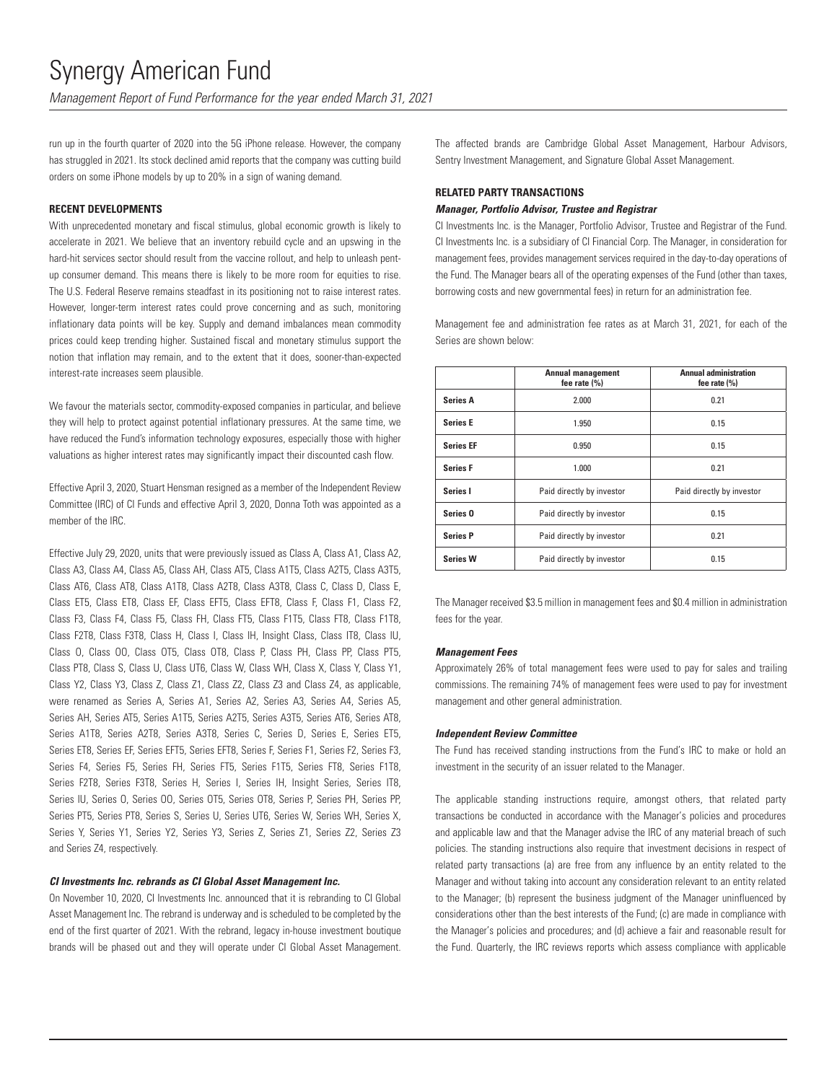*Management Report of Fund Performance for the year ended March 31, 2021*

run up in the fourth quarter of 2020 into the 5G iPhone release. However, the company has struggled in 2021. Its stock declined amid reports that the company was cutting build orders on some iPhone models by up to 20% in a sign of waning demand.

### **RECENT DEVELOPMENTS**

With unprecedented monetary and fiscal stimulus, global economic growth is likely to accelerate in 2021. We believe that an inventory rebuild cycle and an upswing in the hard-hit services sector should result from the vaccine rollout, and help to unleash pentup consumer demand. This means there is likely to be more room for equities to rise. The U.S. Federal Reserve remains steadfast in its positioning not to raise interest rates. However, longer-term interest rates could prove concerning and as such, monitoring inflationary data points will be key. Supply and demand imbalances mean commodity prices could keep trending higher. Sustained fiscal and monetary stimulus support the notion that inflation may remain, and to the extent that it does, sooner-than-expected interest-rate increases seem plausible.

We favour the materials sector, commodity-exposed companies in particular, and believe they will help to protect against potential inflationary pressures. At the same time, we have reduced the Fund's information technology exposures, especially those with higher valuations as higher interest rates may significantly impact their discounted cash flow.

Effective April 3, 2020, Stuart Hensman resigned as a member of the Independent Review Committee (IRC) of CI Funds and effective April 3, 2020, Donna Toth was appointed as a member of the IRC.

Effective July 29, 2020, units that were previously issued as Class A, Class A1, Class A2, Class A3, Class A4, Class A5, Class AH, Class AT5, Class A1T5, Class A2T5, Class A3T5, Class AT6, Class AT8, Class A1T8, Class A2T8, Class A3T8, Class C, Class D, Class E, Class ET5, Class ET8, Class EF, Class EFT5, Class EFT8, Class F, Class F1, Class F2, Class F3, Class F4, Class F5, Class FH, Class FT5, Class F1T5, Class FT8, Class F1T8, Class F2T8, Class F3T8, Class H, Class I, Class IH, Insight Class, Class IT8, Class IU, Class O, Class OO, Class OT5, Class OT8, Class P, Class PH, Class PP, Class PT5, Class PT8, Class S, Class U, Class UT6, Class W, Class WH, Class X, Class Y, Class Y1, Class Y2, Class Y3, Class Z, Class Z1, Class Z2, Class Z3 and Class Z4, as applicable, were renamed as Series A, Series A1, Series A2, Series A3, Series A4, Series A5, Series AH, Series AT5, Series A1T5, Series A2T5, Series A3T5, Series AT6, Series AT8, Series A1T8, Series A2T8, Series A3T8, Series C, Series D, Series E, Series ET5, Series ET8, Series EF, Series EFT5, Series EFT8, Series F, Series F1, Series F2, Series F3, Series F4, Series F5, Series FH, Series FT5, Series F1T5, Series FT8, Series F1T8, Series F2T8, Series F3T8, Series H, Series I, Series IH, Insight Series, Series IT8, Series IU, Series O, Series OO, Series OT5, Series OT8, Series P, Series PH, Series PP, Series PT5, Series PT8, Series S, Series U, Series UT6, Series W, Series WH, Series X, Series Y, Series Y1, Series Y2, Series Y3, Series Z, Series Z1, Series Z2, Series Z3 and Series Z4, respectively.

## *CI Investments Inc. rebrands as CI Global Asset Management Inc.*

On November 10, 2020, CI Investments Inc. announced that it is rebranding to CI Global Asset Management Inc. The rebrand is underway and is scheduled to be completed by the end of the first quarter of 2021. With the rebrand, legacy in-house investment boutique brands will be phased out and they will operate under CI Global Asset Management. The affected brands are Cambridge Global Asset Management, Harbour Advisors, Sentry Investment Management, and Signature Global Asset Management.

## **RELATED PARTY TRANSACTIONS**

## *Manager, Portfolio Advisor, Trustee and Registrar*

CI Investments Inc. is the Manager, Portfolio Advisor, Trustee and Registrar of the Fund. CI Investments Inc. is a subsidiary of CI Financial Corp. The Manager, in consideration for management fees, provides management services required in the day-to-day operations of the Fund. The Manager bears all of the operating expenses of the Fund (other than taxes, borrowing costs and new governmental fees) in return for an administration fee.

Management fee and administration fee rates as at March 31, 2021, for each of the Series are shown below:

|                     | <b>Annual management</b><br>fee rate (%) | <b>Annual administration</b><br>fee rate $(\% )$ |
|---------------------|------------------------------------------|--------------------------------------------------|
| <b>Series A</b>     | 2.000                                    | 0.21                                             |
| <b>Series E</b>     | 1.950                                    | 0.15                                             |
| <b>Series EF</b>    | 0.950                                    | 0.15                                             |
| <b>Series F</b>     | 1.000                                    | 0.21                                             |
| Series I            | Paid directly by investor                | Paid directly by investor                        |
| Series <sub>0</sub> | Paid directly by investor                | 0.15                                             |
| <b>Series P</b>     | Paid directly by investor                | 0.21                                             |
| <b>Series W</b>     | Paid directly by investor                | 0.15                                             |

The Manager received \$3.5 million in management fees and \$0.4 million in administration fees for the year.

### *Management Fees*

Approximately 26% of total management fees were used to pay for sales and trailing commissions. The remaining 74% of management fees were used to pay for investment management and other general administration.

### *Independent Review Committee*

The Fund has received standing instructions from the Fund's IRC to make or hold an investment in the security of an issuer related to the Manager.

The applicable standing instructions require, amongst others, that related party transactions be conducted in accordance with the Manager's policies and procedures and applicable law and that the Manager advise the IRC of any material breach of such policies. The standing instructions also require that investment decisions in respect of related party transactions (a) are free from any influence by an entity related to the Manager and without taking into account any consideration relevant to an entity related to the Manager; (b) represent the business judgment of the Manager uninfluenced by considerations other than the best interests of the Fund; (c) are made in compliance with the Manager's policies and procedures; and (d) achieve a fair and reasonable result for the Fund. Quarterly, the IRC reviews reports which assess compliance with applicable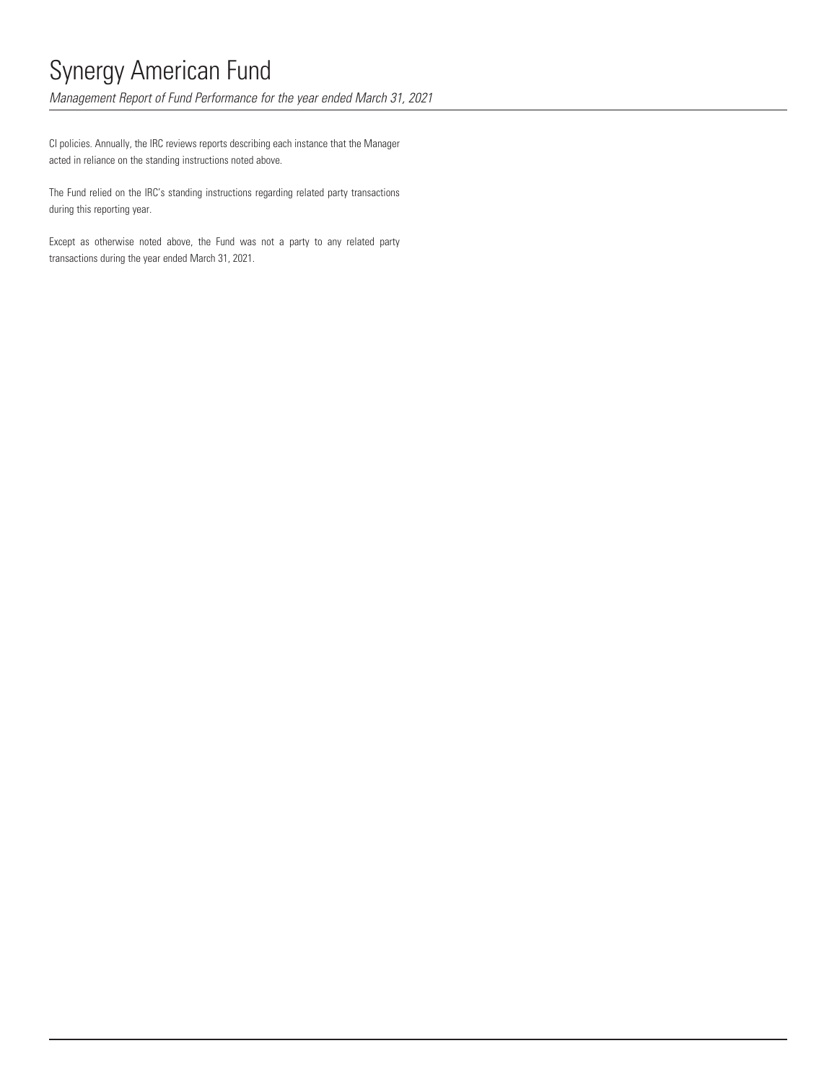*Management Report of Fund Performance for the year ended March 31, 2021*

CI policies. Annually, the IRC reviews reports describing each instance that the Manager acted in reliance on the standing instructions noted above.

The Fund relied on the IRC's standing instructions regarding related party transactions during this reporting year.

Except as otherwise noted above, the Fund was not a party to any related party transactions during the year ended March 31, 2021.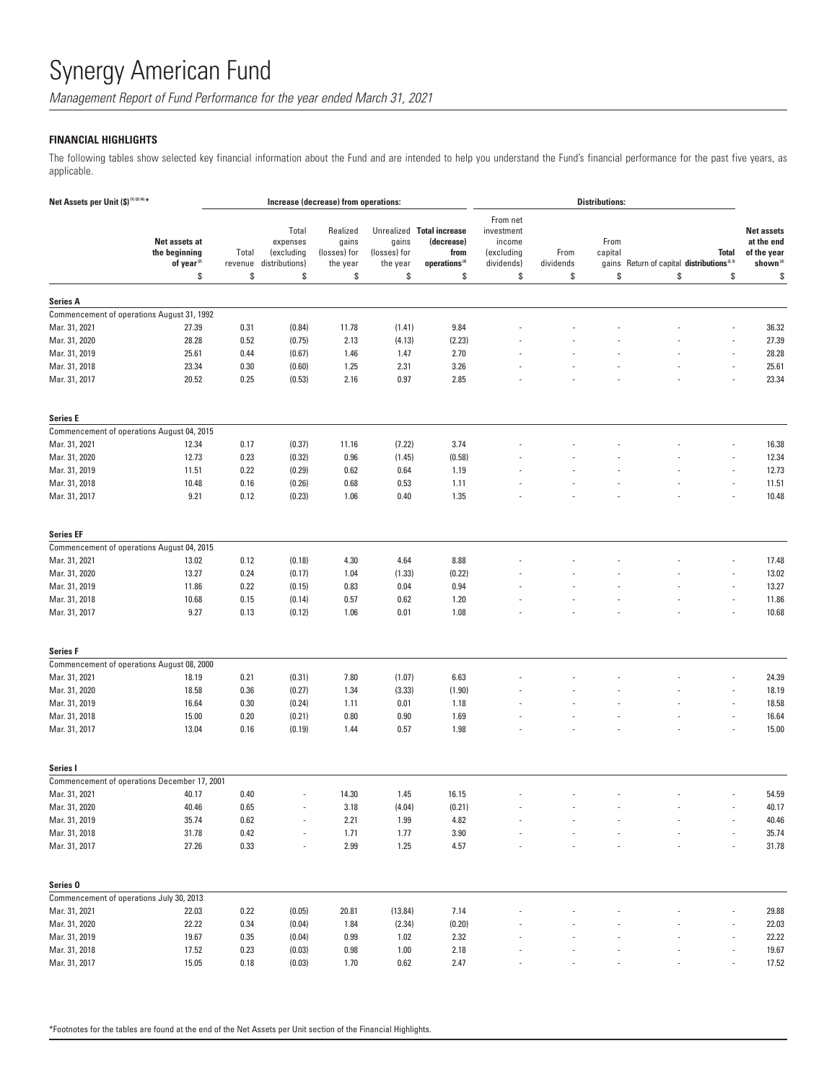*Management Report of Fund Performance for the year ended March 31, 2021*

## **FINANCIAL HIGHLIGHTS**

The following tables show selected key financial information about the Fund and are intended to help you understand the Fund's financial performance for the past five years, as applicable.

| Net Assets per Unit (\$) <sup>(1)(2)(4)*</sup>                  |                                                                | Increase (decrease) from operations: |                                                         |                                                     |                                         |                                                                                    | <b>Distributions:</b>                                              |                         |                       |                                                             |                    |                                                                              |
|-----------------------------------------------------------------|----------------------------------------------------------------|--------------------------------------|---------------------------------------------------------|-----------------------------------------------------|-----------------------------------------|------------------------------------------------------------------------------------|--------------------------------------------------------------------|-------------------------|-----------------------|-------------------------------------------------------------|--------------------|------------------------------------------------------------------------------|
|                                                                 | Net assets at<br>the beginning<br>of year <sup>(2)</sup><br>\$ | Total<br>revenue<br>\$               | Total<br>expenses<br>(excluding<br>distributions)<br>\$ | Realized<br>gains<br>(losses) for<br>the year<br>\$ | gains<br>(losses) for<br>the year<br>\$ | Unrealized Total increase<br>(decrease)<br>from<br>operations <sup>(2)</sup><br>\$ | From net<br>investment<br>income<br>(excluding<br>dividends)<br>\$ | From<br>dividends<br>\$ | From<br>capital<br>\$ | gains Return of capital distributions <sup>2.31</sup><br>\$ | <b>Total</b><br>\$ | <b>Net assets</b><br>at the end<br>of the year<br>shown <sup>(2)</sup><br>\$ |
|                                                                 |                                                                |                                      |                                                         |                                                     |                                         |                                                                                    |                                                                    |                         |                       |                                                             |                    |                                                                              |
| <b>Series A</b>                                                 |                                                                |                                      |                                                         |                                                     |                                         |                                                                                    |                                                                    |                         |                       |                                                             |                    |                                                                              |
|                                                                 | Commencement of operations August 31, 1992                     |                                      |                                                         |                                                     |                                         |                                                                                    |                                                                    |                         |                       |                                                             |                    |                                                                              |
| Mar. 31, 2021                                                   | 27.39                                                          | 0.31                                 | (0.84)                                                  | 11.78                                               | (1.41)                                  | 9.84                                                                               |                                                                    |                         |                       |                                                             |                    | 36.32                                                                        |
| Mar. 31, 2020                                                   | 28.28                                                          | 0.52                                 | (0.75)                                                  | 2.13                                                | (4.13)                                  | (2.23)                                                                             |                                                                    |                         |                       |                                                             |                    | 27.39                                                                        |
| Mar. 31, 2019                                                   | 25.61                                                          | 0.44                                 | (0.67)                                                  | 1.46                                                | 1.47                                    | 2.70                                                                               |                                                                    |                         |                       |                                                             |                    | 28.28                                                                        |
| Mar. 31, 2018                                                   | 23.34                                                          | 0.30                                 | (0.60)                                                  | 1.25                                                | 2.31                                    | 3.26                                                                               |                                                                    |                         |                       |                                                             |                    | 25.61                                                                        |
| Mar. 31, 2017                                                   | 20.52                                                          | 0.25                                 | (0.53)                                                  | 2.16                                                | 0.97                                    | 2.85                                                                               |                                                                    |                         |                       |                                                             |                    | 23.34                                                                        |
| <b>Series E</b>                                                 |                                                                |                                      |                                                         |                                                     |                                         |                                                                                    |                                                                    |                         |                       |                                                             |                    |                                                                              |
|                                                                 | Commencement of operations August 04, 2015                     |                                      |                                                         |                                                     |                                         |                                                                                    |                                                                    |                         |                       |                                                             |                    |                                                                              |
| Mar. 31, 2021                                                   | 12.34                                                          | 0.17                                 | (0.37)                                                  | 11.16                                               | (7.22)                                  | 3.74                                                                               |                                                                    |                         |                       |                                                             |                    | 16.38                                                                        |
| Mar. 31, 2020                                                   | 12.73                                                          | 0.23                                 | (0.32)                                                  | 0.96                                                | (1.45)                                  | (0.58)                                                                             |                                                                    |                         |                       |                                                             |                    | 12.34                                                                        |
| Mar. 31, 2019                                                   | 11.51                                                          | 0.22                                 | (0.29)                                                  | 0.62                                                | 0.64                                    | 1.19                                                                               |                                                                    |                         |                       |                                                             |                    | 12.73                                                                        |
| Mar. 31, 2018                                                   | 10.48                                                          | 0.16                                 | (0.26)                                                  | 0.68                                                | 0.53                                    | 1.11                                                                               |                                                                    |                         |                       |                                                             |                    | 11.51                                                                        |
| Mar. 31, 2017                                                   | 9.21                                                           | 0.12                                 | (0.23)                                                  | 1.06                                                | 0.40                                    | 1.35                                                                               |                                                                    |                         |                       |                                                             |                    | 10.48                                                                        |
| <b>Series EF</b>                                                |                                                                |                                      |                                                         |                                                     |                                         |                                                                                    |                                                                    |                         |                       |                                                             |                    |                                                                              |
|                                                                 | Commencement of operations August 04, 2015                     |                                      |                                                         |                                                     |                                         |                                                                                    |                                                                    |                         |                       |                                                             |                    |                                                                              |
| Mar. 31, 2021                                                   | 13.02                                                          | 0.12                                 | (0.18)                                                  | 4.30                                                | 4.64                                    | 8.88                                                                               |                                                                    |                         |                       |                                                             |                    | 17.48                                                                        |
| Mar. 31, 2020                                                   | 13.27                                                          | 0.24                                 | (0.17)                                                  | 1.04                                                | (1.33)                                  | (0.22)                                                                             |                                                                    |                         |                       |                                                             |                    | 13.02                                                                        |
| Mar. 31, 2019                                                   | 11.86                                                          | 0.22                                 | (0.15)                                                  | 0.83                                                | 0.04                                    | 0.94                                                                               |                                                                    |                         |                       |                                                             |                    | 13.27                                                                        |
| Mar. 31, 2018                                                   | 10.68                                                          | 0.15                                 | (0.14)                                                  | 0.57                                                | 0.62                                    | 1.20                                                                               |                                                                    |                         |                       |                                                             |                    | 11.86                                                                        |
| Mar. 31, 2017                                                   | 9.27                                                           | 0.13                                 | (0.12)                                                  | 1.06                                                | 0.01                                    | 1.08                                                                               |                                                                    |                         |                       |                                                             |                    | 10.68                                                                        |
| <b>Series F</b>                                                 |                                                                |                                      |                                                         |                                                     |                                         |                                                                                    |                                                                    |                         |                       |                                                             |                    |                                                                              |
|                                                                 | Commencement of operations August 08, 2000                     |                                      |                                                         |                                                     |                                         |                                                                                    |                                                                    |                         |                       |                                                             |                    |                                                                              |
| Mar. 31, 2021                                                   | 18.19                                                          | 0.21                                 | (0.31)                                                  | 7.80                                                | (1.07)                                  | 6.63                                                                               |                                                                    |                         |                       |                                                             |                    | 24.39                                                                        |
| Mar. 31, 2020                                                   | 18.58                                                          | 0.36                                 | (0.27)                                                  | 1.34                                                | (3.33)                                  | (1.90)                                                                             |                                                                    |                         |                       |                                                             |                    | 18.19                                                                        |
| Mar. 31, 2019                                                   | 16.64                                                          | 0.30                                 | (0.24)                                                  | 1.11                                                | 0.01                                    | 1.18                                                                               |                                                                    |                         |                       |                                                             |                    | 18.58                                                                        |
| Mar. 31, 2018                                                   | 15.00                                                          | 0.20                                 | (0.21)                                                  | 0.80                                                | 0.90                                    | 1.69                                                                               |                                                                    |                         |                       |                                                             |                    | 16.64                                                                        |
| Mar. 31, 2017                                                   | 13.04                                                          | 0.16                                 | (0.19)                                                  | 1.44                                                | 0.57                                    | 1.98                                                                               |                                                                    |                         |                       |                                                             |                    | 15.00                                                                        |
| Series I                                                        |                                                                |                                      |                                                         |                                                     |                                         |                                                                                    |                                                                    |                         |                       |                                                             |                    |                                                                              |
|                                                                 | Commencement of operations December 17, 2001                   |                                      |                                                         |                                                     |                                         |                                                                                    |                                                                    |                         |                       |                                                             |                    |                                                                              |
| Mar. 31, 2021                                                   | 40.17                                                          | 0.40                                 |                                                         | 14.30                                               | 1.45                                    | 16.15                                                                              |                                                                    |                         |                       |                                                             |                    | 54.59                                                                        |
| Mar. 31, 2020                                                   | 40.46                                                          | $0.65\,$                             |                                                         | 3.18                                                | (4.04)                                  | (0.21)                                                                             |                                                                    |                         |                       |                                                             |                    | 40.17                                                                        |
| Mar. 31, 2019                                                   | 35.74                                                          | 0.62                                 |                                                         | 2.21                                                | 1.99                                    | 4.82                                                                               |                                                                    |                         |                       |                                                             |                    | 40.46                                                                        |
| Mar. 31, 2018                                                   | 31.78                                                          | $0.42\,$                             |                                                         | 1.71                                                | 1.77                                    | 3.90                                                                               |                                                                    |                         |                       |                                                             |                    | 35.74                                                                        |
| Mar. 31, 2017                                                   | 27.26                                                          | 0.33                                 | $\overline{\phantom{a}}$                                | 2.99                                                | 1.25                                    | 4.57                                                                               |                                                                    |                         |                       |                                                             |                    | 31.78                                                                        |
|                                                                 |                                                                |                                      |                                                         |                                                     |                                         |                                                                                    |                                                                    |                         |                       |                                                             |                    |                                                                              |
| Series <sub>0</sub><br>Commencement of operations July 30, 2013 |                                                                |                                      |                                                         |                                                     |                                         |                                                                                    |                                                                    |                         |                       |                                                             |                    |                                                                              |
| Mar. 31, 2021                                                   | 22.03                                                          | 0.22                                 | (0.05)                                                  | 20.81                                               | (13.84)                                 | 7.14                                                                               |                                                                    |                         |                       |                                                             |                    | 29.88                                                                        |
| Mar. 31, 2020                                                   | 22.22                                                          | 0.34                                 | (0.04)                                                  | 1.84                                                | (2.34)                                  | (0.20)                                                                             |                                                                    |                         |                       |                                                             |                    | 22.03                                                                        |
| Mar. 31, 2019                                                   | 19.67                                                          | 0.35                                 | (0.04)                                                  | 0.99                                                | 1.02                                    | 2.32                                                                               |                                                                    |                         |                       |                                                             |                    | 22.22                                                                        |
| Mar. 31, 2018                                                   | 17.52                                                          | 0.23                                 | (0.03)                                                  | 0.98                                                | $1.00$                                  | 2.18                                                                               |                                                                    |                         |                       |                                                             |                    | 19.67                                                                        |
| Mar. 31, 2017                                                   | 15.05                                                          | 0.18                                 | (0.03)                                                  | 1.70                                                | $0.62\,$                                | 2.47                                                                               |                                                                    |                         |                       |                                                             |                    | 17.52                                                                        |
|                                                                 |                                                                |                                      |                                                         |                                                     |                                         |                                                                                    |                                                                    |                         |                       |                                                             |                    |                                                                              |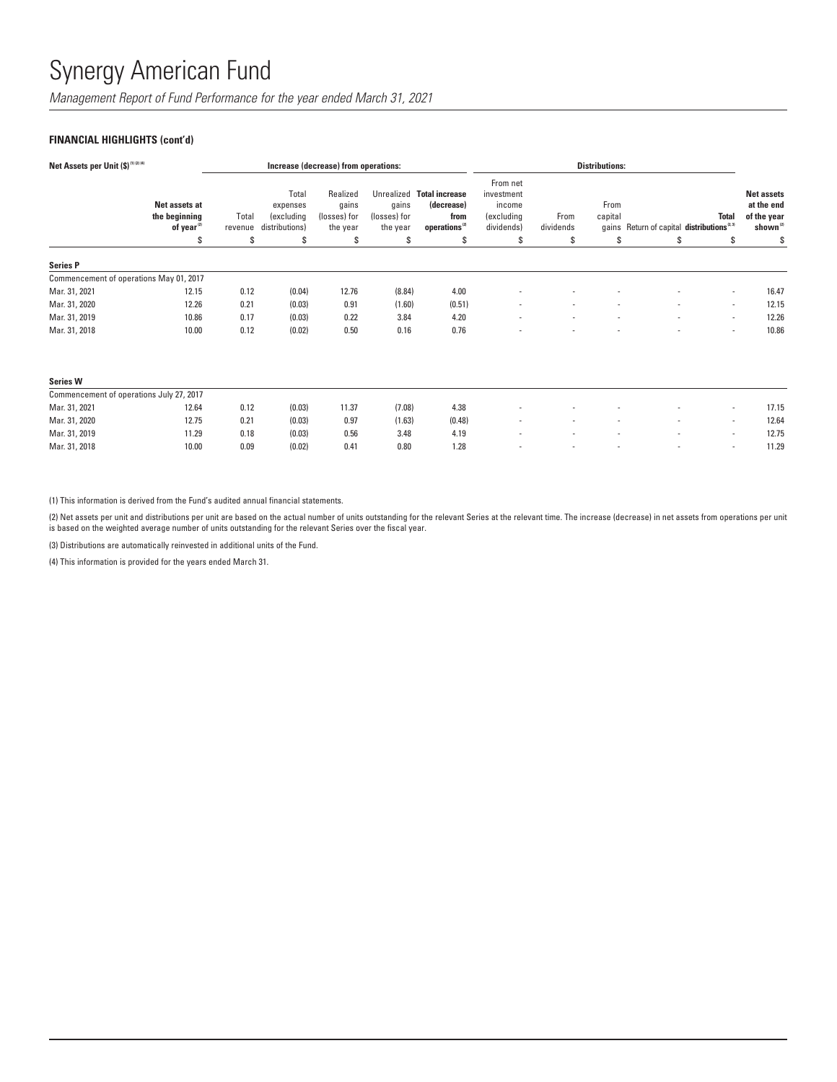*Management Report of Fund Performance for the year ended March 31, 2021*

# **FINANCIAL HIGHLIGHTS (cont'd)**

| Net Assets per Unit (\$) <sup>(1)(2)(4)</sup> |                                                         |                  | Increase (decrease) from operations:              |                                               |                                   | <b>Distributions:</b>                                                        |                                                              |                          |                          |                                                       |                          |                                                                        |
|-----------------------------------------------|---------------------------------------------------------|------------------|---------------------------------------------------|-----------------------------------------------|-----------------------------------|------------------------------------------------------------------------------|--------------------------------------------------------------|--------------------------|--------------------------|-------------------------------------------------------|--------------------------|------------------------------------------------------------------------|
|                                               | Net assets at<br>the beginning<br>of year <sup>22</sup> | Total<br>revenue | Total<br>expenses<br>(excluding<br>distributions) | Realized<br>gains<br>(losses) for<br>the year | gains<br>(losses) for<br>the year | Unrealized Total increase<br>(decrease)<br>from<br>operations <sup>(2)</sup> | From net<br>investment<br>income<br>(excluding<br>dividends) | From<br>dividends        | From<br>capital          | gains Return of capital distributions <sup>2.31</sup> | <b>Total</b>             | <b>Net assets</b><br>at the end<br>of the year<br>shown <sup>(2)</sup> |
|                                               | \$                                                      | S                | S                                                 | \$                                            | \$                                | \$                                                                           | S                                                            | \$                       | S                        | \$                                                    | S                        | \$                                                                     |
| <b>Series P</b>                               |                                                         |                  |                                                   |                                               |                                   |                                                                              |                                                              |                          |                          |                                                       |                          |                                                                        |
| Commencement of operations May 01, 2017       |                                                         |                  |                                                   |                                               |                                   |                                                                              |                                                              |                          |                          |                                                       |                          |                                                                        |
| Mar. 31, 2021                                 | 12.15                                                   | 0.12             | (0.04)                                            | 12.76                                         | (8.84)                            | 4.00                                                                         |                                                              |                          |                          |                                                       | $\blacksquare$           | 16.47                                                                  |
| Mar. 31, 2020                                 | 12.26                                                   | 0.21             | (0.03)                                            | 0.91                                          | (1.60)                            | (0.51)                                                                       | $\overline{\phantom{a}}$                                     | $\overline{\phantom{a}}$ | $\overline{\phantom{a}}$ | $\overline{\phantom{a}}$                              | $\sim$                   | 12.15                                                                  |
| Mar. 31, 2019                                 | 10.86                                                   | 0.17             | (0.03)                                            | 0.22                                          | 3.84                              | 4.20                                                                         | $\overline{\phantom{a}}$                                     | $\overline{\phantom{a}}$ | $\overline{\phantom{a}}$ | $\overline{\phantom{a}}$                              | $\sim$                   | 12.26                                                                  |
| Mar. 31, 2018                                 | 10.00                                                   | 0.12             | (0.02)                                            | 0.50                                          | 0.16                              | 0.76                                                                         |                                                              |                          |                          |                                                       | $\overline{\phantom{a}}$ | 10.86                                                                  |
| <b>Series W</b>                               |                                                         |                  |                                                   |                                               |                                   |                                                                              |                                                              |                          |                          |                                                       |                          |                                                                        |
| Commencement of operations July 27, 2017      |                                                         |                  |                                                   |                                               |                                   |                                                                              |                                                              |                          |                          |                                                       |                          |                                                                        |

| Commencement or operations July 21, 2017 |       |      |        |       |        |        |                          |     |     |  |       |
|------------------------------------------|-------|------|--------|-------|--------|--------|--------------------------|-----|-----|--|-------|
| Mar. 31, 2021                            | 12.64 | 0.12 | (0.03) | 11.37 | (7.08) | 4.38   |                          | . . | . . |  | 17.15 |
| Mar. 31, 2020                            | 12.75 | 0.21 | (0.03) | 0.97  | (1.63) | (0.48) | $\sim$                   |     |     |  | 12.64 |
| Mar. 31, 2019                            | 11.29 | 0.18 | (0.03) | 0.56  | 3.48   | 4.19   |                          |     |     |  | 12.75 |
| Mar. 31, 2018                            | 10.00 | 0.09 | (0.02) | 0.41  | 0.80   | .28    | $\overline{\phantom{a}}$ |     |     |  | 11.29 |
|                                          |       |      |        |       |        |        |                          |     |     |  |       |

(1) This information is derived from the Fund's audited annual financial statements.

(2) Net assets per unit and distributions per unit are based on the actual number of units outstanding for the relevant Series at the relevant time. The increase (decrease) in net assets from operations per unit is based on the weighted average number of units outstanding for the relevant Series over the fiscal year.

(3) Distributions are automatically reinvested in additional units of the Fund.

(4) This information is provided for the years ended March 31.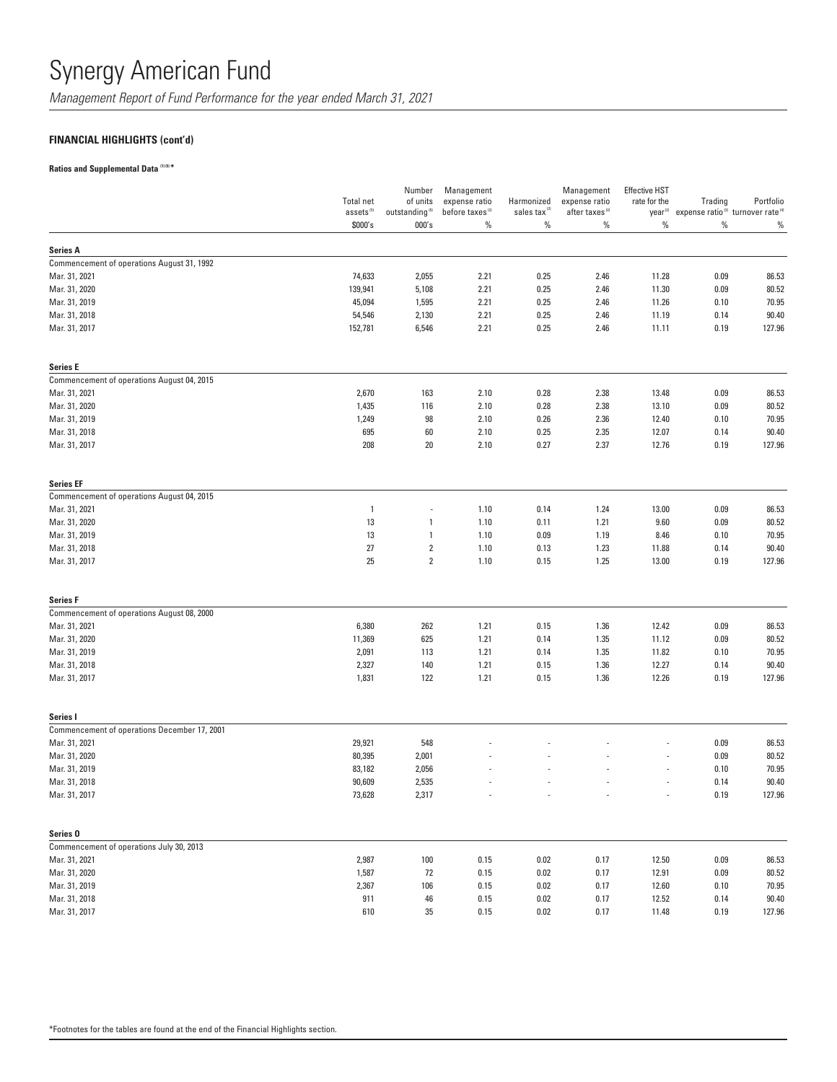*Management Report of Fund Performance for the year ended March 31, 2021*

# **FINANCIAL HIGHLIGHTS (cont'd)**

# **Ratios and Supplemental Data (1) (5) \***

|                                              | <b>Total net</b><br>assets <sup>(5)</sup> | Number<br>of units<br>outstanding <sup>(5)</sup> | Management<br>expense ratio<br>before taxes <sup>(2)</sup> | Harmonized<br>sales tax <sup>(2)</sup> | Management<br>expense ratio<br>after taxes <sup>(2)</sup> | <b>Effective HST</b><br>rate for the | Trading<br>year <sup>(2)</sup> expense ratio <sup>(3)</sup> turnover rate <sup>(4)</sup> | Portfolio |
|----------------------------------------------|-------------------------------------------|--------------------------------------------------|------------------------------------------------------------|----------------------------------------|-----------------------------------------------------------|--------------------------------------|------------------------------------------------------------------------------------------|-----------|
|                                              | \$000's                                   | 000's                                            | %                                                          | $\%$                                   | $\%$                                                      | $\%$                                 | $\%$                                                                                     | $\%$      |
| <b>Series A</b>                              |                                           |                                                  |                                                            |                                        |                                                           |                                      |                                                                                          |           |
| Commencement of operations August 31, 1992   |                                           |                                                  |                                                            |                                        |                                                           |                                      |                                                                                          |           |
| Mar. 31, 2021                                | 74,633                                    | 2,055                                            | 2.21                                                       | 0.25                                   | 2.46                                                      | 11.28                                | 0.09                                                                                     | 86.53     |
| Mar. 31, 2020                                | 139,941                                   | 5,108                                            | 2.21                                                       | 0.25                                   | 2.46                                                      | 11.30                                | 0.09                                                                                     | 80.52     |
| Mar. 31, 2019                                | 45,094                                    | 1,595                                            | 2.21                                                       | 0.25                                   | 2.46                                                      | 11.26                                | 0.10                                                                                     | 70.95     |
| Mar. 31, 2018                                | 54,546                                    | 2,130                                            | 2.21                                                       | 0.25                                   | 2.46                                                      | 11.19                                | 0.14                                                                                     | 90.40     |
| Mar. 31, 2017                                | 152,781                                   | 6,546                                            | 2.21                                                       | 0.25                                   | 2.46                                                      | 11.11                                | 0.19                                                                                     | 127.96    |
| <b>Series E</b>                              |                                           |                                                  |                                                            |                                        |                                                           |                                      |                                                                                          |           |
| Commencement of operations August 04, 2015   |                                           |                                                  |                                                            |                                        |                                                           |                                      |                                                                                          |           |
| Mar. 31, 2021                                | 2,670                                     | 163                                              | 2.10                                                       | 0.28                                   | 2.38                                                      | 13.48                                | 0.09                                                                                     | 86.53     |
| Mar. 31, 2020                                | 1,435                                     | 116                                              | 2.10                                                       | 0.28                                   | 2.38                                                      | 13.10                                | 0.09                                                                                     | 80.52     |
| Mar. 31, 2019                                | 1,249                                     | 98                                               | 2.10                                                       | 0.26                                   | 2.36                                                      | 12.40                                | 0.10                                                                                     | 70.95     |
| Mar. 31, 2018                                | 695                                       | 60                                               | 2.10                                                       | 0.25                                   | 2.35                                                      | 12.07                                | 0.14                                                                                     | 90.40     |
| Mar. 31, 2017                                | 208                                       | 20                                               | 2.10                                                       | 0.27                                   | 2.37                                                      | 12.76                                | 0.19                                                                                     | 127.96    |
| <b>Series EF</b>                             |                                           |                                                  |                                                            |                                        |                                                           |                                      |                                                                                          |           |
| Commencement of operations August 04, 2015   |                                           |                                                  |                                                            |                                        |                                                           |                                      |                                                                                          |           |
| Mar. 31, 2021                                | $\overline{1}$                            |                                                  | 1.10                                                       | 0.14                                   | 1.24                                                      | 13.00                                | 0.09                                                                                     | 86.53     |
| Mar. 31, 2020                                | 13                                        | 1                                                | 1.10                                                       | 0.11                                   | 1.21                                                      | 9.60                                 | 0.09                                                                                     | 80.52     |
| Mar. 31, 2019                                | 13                                        | 1                                                | 1.10                                                       | 0.09                                   | 1.19                                                      | 8.46                                 | 0.10                                                                                     | 70.95     |
| Mar. 31, 2018                                | 27                                        | $\sqrt{2}$                                       | 1.10                                                       | 0.13                                   | 1.23                                                      | 11.88                                | 0.14                                                                                     | 90.40     |
| Mar. 31, 2017                                | 25                                        | $\sqrt{2}$                                       | 1.10                                                       | 0.15                                   | 1.25                                                      | 13.00                                | 0.19                                                                                     | 127.96    |
| <b>Series F</b>                              |                                           |                                                  |                                                            |                                        |                                                           |                                      |                                                                                          |           |
| Commencement of operations August 08, 2000   |                                           |                                                  |                                                            |                                        |                                                           |                                      |                                                                                          |           |
| Mar. 31, 2021                                | 6,380                                     | 262                                              | 1.21                                                       | 0.15                                   | 1.36                                                      | 12.42                                | 0.09                                                                                     | 86.53     |
| Mar. 31, 2020                                | 11,369                                    | 625                                              | 1.21                                                       | 0.14                                   | 1.35                                                      | 11.12                                | 0.09                                                                                     | 80.52     |
| Mar. 31, 2019                                | 2,091                                     | 113                                              | 1.21                                                       | 0.14                                   | 1.35                                                      | 11.82                                | 0.10                                                                                     | 70.95     |
| Mar. 31, 2018                                | 2,327                                     | 140                                              | 1.21                                                       | 0.15                                   | 1.36                                                      | 12.27                                | 0.14                                                                                     | 90.40     |
| Mar. 31, 2017                                | 1,831                                     | 122                                              | 1.21                                                       | 0.15                                   | 1.36                                                      | 12.26                                | 0.19                                                                                     | 127.96    |
| Series I                                     |                                           |                                                  |                                                            |                                        |                                                           |                                      |                                                                                          |           |
| Commencement of operations December 17, 2001 |                                           |                                                  |                                                            |                                        |                                                           |                                      |                                                                                          |           |
| Mar. 31, 2021                                | 29,921                                    | 548                                              |                                                            |                                        |                                                           |                                      | 0.09                                                                                     | 86.53     |
| Mar. 31, 2020                                | 80,395                                    | 2,001                                            |                                                            |                                        |                                                           |                                      | 0.09                                                                                     | 80.52     |
| Mar. 31, 2019                                | 83,182                                    | 2,056                                            |                                                            |                                        |                                                           |                                      | 0.10                                                                                     | 70.95     |
| Mar. 31, 2018                                | 90,609                                    | 2,535                                            |                                                            |                                        |                                                           |                                      | 0.14                                                                                     | 90.40     |
| Mar. 31, 2017                                | 73,628                                    | 2,317                                            |                                                            |                                        |                                                           |                                      | 0.19                                                                                     | 127.96    |
| Series <sub>0</sub>                          |                                           |                                                  |                                                            |                                        |                                                           |                                      |                                                                                          |           |
| Commencement of operations July 30, 2013     |                                           |                                                  |                                                            |                                        |                                                           |                                      |                                                                                          |           |
| Mar. 31, 2021                                | 2,987                                     | $100\,$                                          | 0.15                                                       | 0.02                                   | 0.17                                                      | 12.50                                | 0.09                                                                                     | 86.53     |
| Mar. 31, 2020                                | 1,587                                     | 72                                               | 0.15                                                       | $0.02\,$                               | 0.17                                                      | 12.91                                | 0.09                                                                                     | 80.52     |
| Mar. 31, 2019                                | 2,367                                     | 106                                              | 0.15                                                       | 0.02                                   | 0.17                                                      | 12.60                                | 0.10                                                                                     | 70.95     |
| Mar. 31, 2018                                | 911                                       | 46                                               | 0.15                                                       | 0.02                                   | 0.17                                                      | 12.52                                | 0.14                                                                                     | 90.40     |
| Mar. 31, 2017                                | 610                                       | 35                                               | 0.15                                                       | 0.02                                   | 0.17                                                      | 11.48                                | 0.19                                                                                     | 127.96    |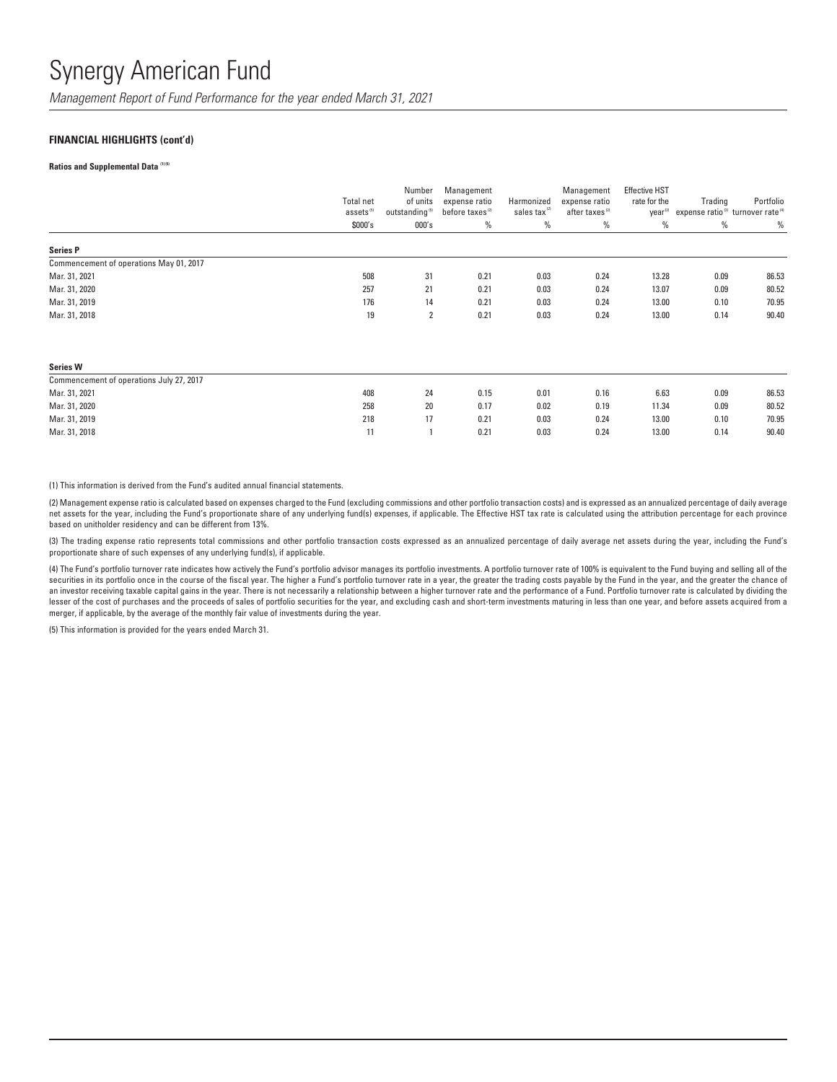*Management Report of Fund Performance for the year ended March 31, 2021*

### **FINANCIAL HIGHLIGHTS (cont'd)**

#### **Ratios and Supplemental Data (1) (5)**

|                                         | Total net<br>assets <sup>(5)</sup> | Number<br>of units<br>outstanding <sup>(5)</sup> | Management<br>expense ratio<br>before taxes <sup>(2)</sup> | Harmonized<br>sales tax | Management<br>expense ratio<br>after taxes <sup>(2)</sup> | <b>Effective HST</b><br>rate for the<br>year <sup>(2)</sup> | Trading<br>expense ratio <sup>(3)</sup> turnover rate <sup>(4)</sup> | Portfolio |
|-----------------------------------------|------------------------------------|--------------------------------------------------|------------------------------------------------------------|-------------------------|-----------------------------------------------------------|-------------------------------------------------------------|----------------------------------------------------------------------|-----------|
|                                         | \$000's                            | 000's                                            | $\%$                                                       | $\%$                    | $\%$                                                      | %                                                           | %                                                                    | $\%$      |
| <b>Series P</b>                         |                                    |                                                  |                                                            |                         |                                                           |                                                             |                                                                      |           |
| Commencement of operations May 01, 2017 |                                    |                                                  |                                                            |                         |                                                           |                                                             |                                                                      |           |
| Mar. 31, 2021                           | 508                                | 31                                               | 0.21                                                       | 0.03                    | 0.24                                                      | 13.28                                                       | 0.09                                                                 | 86.53     |
| Mar. 31, 2020                           | 257                                | 21                                               | 0.21                                                       | 0.03                    | 0.24                                                      | 13.07                                                       | 0.09                                                                 | 80.52     |
| Mar. 31, 2019                           | 176                                | 14                                               | 0.21                                                       | 0.03                    | 0.24                                                      | 13.00                                                       | 0.10                                                                 | 70.95     |
| Mar. 31, 2018                           | 19                                 | 2                                                | 0.21                                                       | 0.03                    | 0.24                                                      | 13.00                                                       | 0.14                                                                 | 90.40     |
| <b>Series W</b>                         |                                    |                                                  |                                                            |                         |                                                           |                                                             |                                                                      |           |

| Commencement of operations July 27, 2017 |     |    |      |      |      |       |      |       |
|------------------------------------------|-----|----|------|------|------|-------|------|-------|
| Mar. 31, 2021                            | 408 | 24 | 0.15 | 0.01 | 0.16 | 6.63  | 0.09 | 86.53 |
| Mar. 31, 2020                            | 258 | 20 | 0.17 | 0.02 | 0.19 | 11.34 | 0.09 | 80.52 |
| Mar. 31, 2019                            | 218 |    | 0.21 | 0.03 | 0.24 | 13.00 | 0.10 | 70.95 |
| Mar. 31, 2018                            |     |    | 0.21 | 0.03 | 0.24 | 13.00 | 0.14 | 90.40 |
|                                          |     |    |      |      |      |       |      |       |

(1) This information is derived from the Fund's audited annual financial statements.

(2) Management expense ratio is calculated based on expenses charged to the Fund (excluding commissions and other portfolio transaction costs) and is expressed as an annualized percentage of daily average net assets for the year, including the Fund's proportionate share of any underlying fund(s) expenses, if applicable. The Effective HST tax rate is calculated using the attribution percentage for each province based on unitholder residency and can be different from 13%.

(3) The trading expense ratio represents total commissions and other portfolio transaction costs expressed as an annualized percentage of daily average net assets during the year, including the Fund's proportionate share of such expenses of any underlying fund(s), if applicable.

(4) The Fund's portfolio turnover rate indicates how actively the Fund's portfolio advisor manages its portfolio investments. A portfolio turnover rate of 100% is equivalent to the Fund buying and selling all of the securities in its portfolio once in the course of the fiscal year. The higher a Fund's portfolio turnover rate in a year, the greater the trading costs payable by the Fund in the year, and the greater the chance of an investor receiving taxable capital gains in the year. There is not necessarily a relationship between a higher turnover rate and the performance of a Fund. Portfolio turnover rate is calculated by dividing the lesser of the cost of purchases and the proceeds of sales of portfolio securities for the year, and excluding cash and short-term investments maturing in less than one year, and before assets acquired from a merger, if applicable, by the average of the monthly fair value of investments during the year.

(5) This information is provided for the years ended March 31.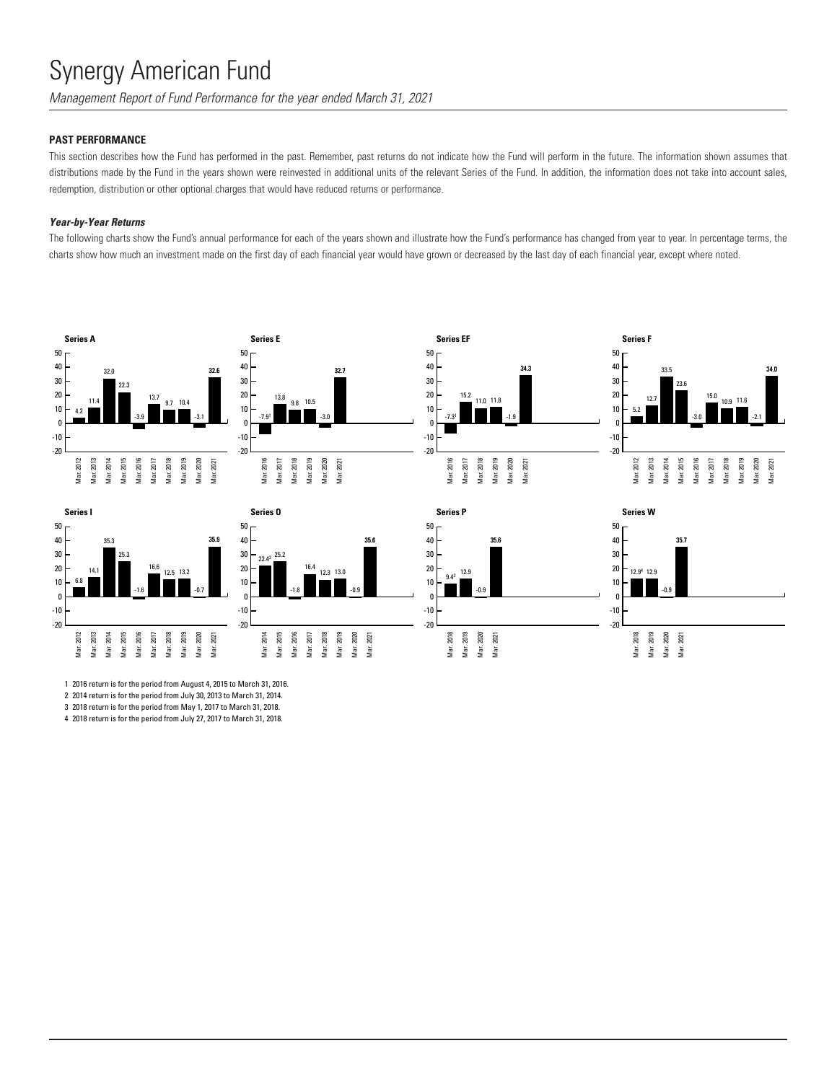*Management Report of Fund Performance for the year ended March 31, 2021*

# **PAST PERFORMANCE**

This section describes how the Fund has performed in the past. Remember, past returns do not indicate how the Fund will perform in the future. The information shown assumes that distributions made by the Fund in the years shown were reinvested in additional units of the relevant Series of the Fund. In addition, the information does not take into account sales, redemption, distribution or other optional charges that would have reduced returns or performance.

## *Year-by-Year Returns*

The following charts show the Fund's annual performance for each of the years shown and illustrate how the Fund's performance has changed from year to year. In percentage terms, the charts show how much an investment made on the first day of each financial year would have grown or decreased by the last day of each financial year, except where noted.

















1 2016 return is for the period from August 4, 2015 to March 31, 2016.

2 2014 return is for the period from July 30, 2013 to March 31, 2014.

3 2018 return is for the period from May 1, 2017 to March 31, 2018.

4 2018 return is for the period from July 27, 2017 to March 31, 2018.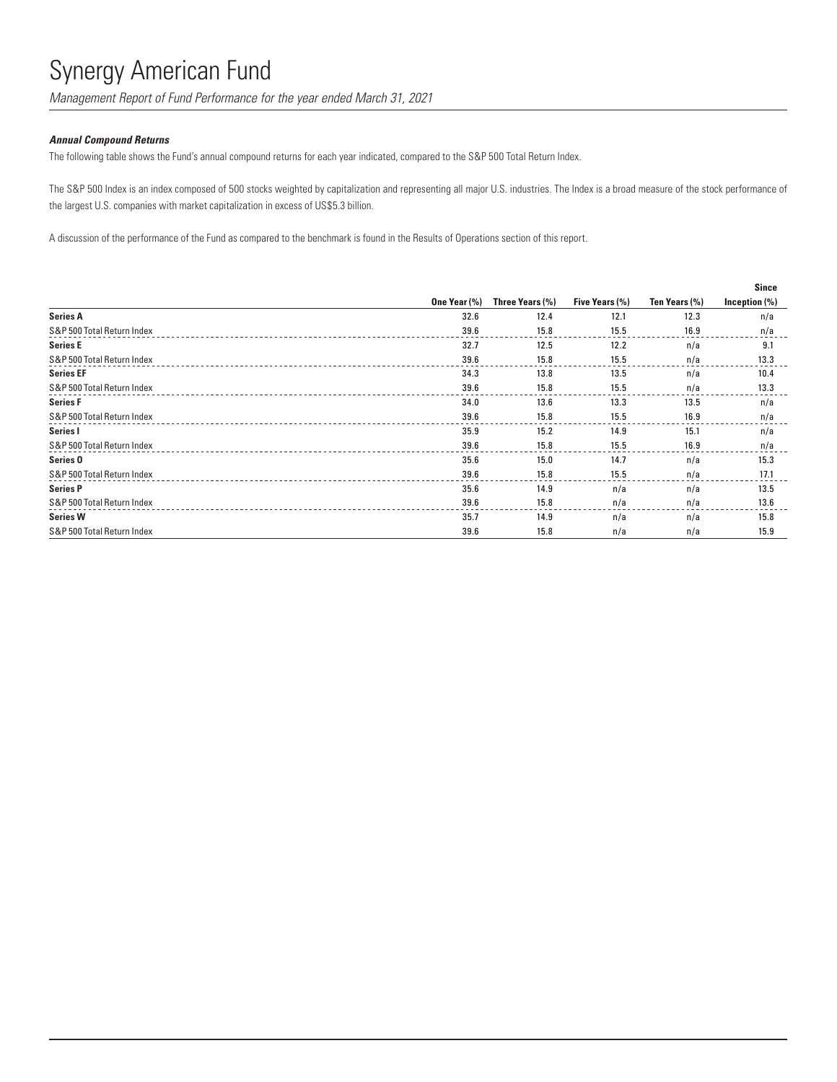*Management Report of Fund Performance for the year ended March 31, 2021*

### *Annual Compound Returns*

The following table shows the Fund's annual compound returns for each year indicated, compared to the S&P 500 Total Return Index.

The S&P 500 Index is an index composed of 500 stocks weighted by capitalization and representing all major U.S. industries. The Index is a broad measure of the stock performance of the largest U.S. companies with market capitalization in excess of US\$5.3 billion.

A discussion of the performance of the Fund as compared to the benchmark is found in the Results of Operations section of this report.

|                            |              |                 |                       |               | <b>Since</b>  |
|----------------------------|--------------|-----------------|-----------------------|---------------|---------------|
|                            | One Year (%) | Three Years (%) | <b>Five Years (%)</b> | Ten Years (%) | Inception (%) |
| <b>Series A</b>            | 32.6         | 12.4            | 12.1                  | 12.3          | n/a           |
| S&P 500 Total Return Index | 39.6         | 15.8            | 15.5                  | 16.9          | n/a           |
| <b>Series E</b>            | 32.7         | 12.5            | 12.2                  | n/a           | 9.1           |
| S&P 500 Total Return Index | 39.6         | 15.8            | 15.5                  | n/a           | 13.3          |
| <b>Series EF</b>           | 34.3         | 13.8            | 13.5                  | n/a           | 10.4          |
| S&P 500 Total Return Index | 39.6         | 15.8            | 15.5                  | n/a           | 13.3          |
| <b>Series F</b>            | 34.0         | 13.6            | 13.3                  | 13.5          | n/a           |
| S&P 500 Total Return Index | 39.6         | 15.8            | 15.5                  | 16.9          | n/a           |
| Series I                   | 35.9         | 15.2            | 14.9                  | 15.1          | n/a           |
| S&P 500 Total Return Index | 39.6         | 15.8            | 15.5                  | 16.9          | n/a           |
| Series <sub>0</sub>        | 35.6         | 15.0            | 14.7                  | n/a           | 15.3          |
| S&P 500 Total Return Index | 39.6         | 15.8            | 15.5                  | n/a           | 17.1          |
| <b>Series P</b>            | 35.6         | 14.9            | n/a                   | n/a           | 13.5          |
| S&P 500 Total Return Index | 39.6         | 15.8            | n/a                   | n/a           | 13.6          |
| <b>Series W</b>            | 35.7         | 14.9            | n/a                   | n/a           | 15.8          |
| S&P 500 Total Return Index | 39.6         | 15.8            | n/a                   | n/a           | 15.9          |